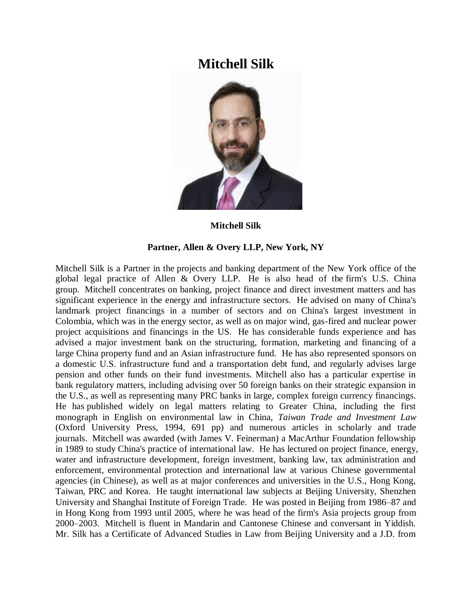## **Mitchell Silk**



## **Mitchell Silk**

## **Partner, Allen & Overy LLP, New York, NY**

Mitchell Silk is a Partner in the projects and banking department of the New York office of the global legal practice of Allen & Overy LLP. He is also head of the firm's U.S. China group. Mitchell concentrates on banking, project finance and direct investment matters and has significant experience in the energy and infrastructure sectors. He advised on many of China's landmark project financings in a number of sectors and on China's largest investment in Colombia, which was in the energy sector, as well as on major wind, gas-fired and nuclear power project acquisitions and financings in the US. He has considerable funds experience and has advised a major investment bank on the structuring, formation, marketing and financing of a large China property fund and an Asian infrastructure fund. He has also represented sponsors on a domestic U.S. infrastructure fund and a transportation debt fund, and regularly advises large pension and other funds on their fund investments. Mitchell also has a particular expertise in bank regulatory matters, including advising over 50 foreign banks on their strategic expansion in the U.S., as well as representing many PRC banks in large, complex foreign currency financings. He has published widely on legal matters relating to Greater China, including the first monograph in English on environmental law in China, *Taiwan Trade and Investment Law* (Oxford University Press, 1994, 691 pp) and numerous articles in scholarly and trade journals. Mitchell was awarded (with James V. Feinerman) a MacArthur Foundation fellowship in 1989 to study China's practice of international law. He has lectured on project finance, energy, water and infrastructure development, foreign investment, banking law, tax administration and enforcement, environmental protection and international law at various Chinese governmental agencies (in Chinese), as well as at major conferences and universities in the U.S., Hong Kong, Taiwan, PRC and Korea. He taught international law subjects at Beijing University, Shenzhen University and Shanghai Institute of Foreign Trade. He was posted in Beijing from 1986–87 and in Hong Kong from 1993 until 2005, where he was head of the firm's Asia projects group from 2000–2003. Mitchell is fluent in Mandarin and Cantonese Chinese and conversant in Yiddish. Mr. Silk has a Certificate of Advanced Studies in Law from Beijing University and a J.D. from